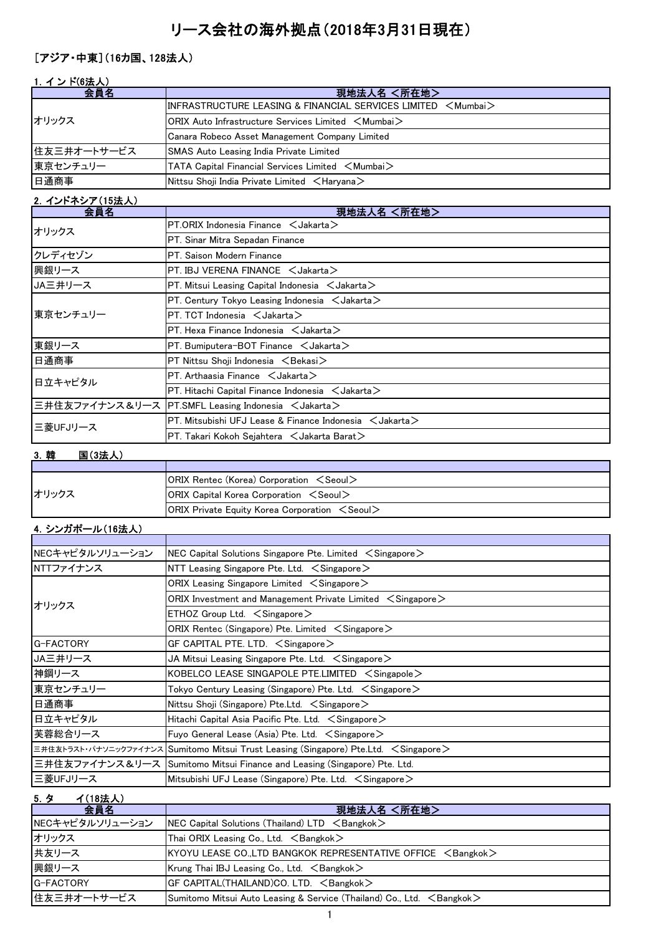# リース会社の海外拠点(2018年3月31日現在)

# [アジア・中東](16カ国、128法人)

| 1. インド(6法人) |                                                                                                      |
|-------------|------------------------------------------------------------------------------------------------------|
| 会員名         | 現地法人名 <所在地>                                                                                          |
| オリックス       | $\textsf{IINFRASTRUCTURE LEASING & \textsf{FINANCIAL SERVICES LIMITED} < \textsf{Mumbai} >$          |
|             | $\mathsf{ORIX}$ Auto Infrastructure Services Limited $\mathord{\leq} \mathsf{Mumbai} \mathord{\geq}$ |
|             | Canara Robeco Asset Management Company Limited                                                       |
| 住友三井オートサービス | <b>SMAS Auto Leasing India Private Limited</b>                                                       |
| 東京センチュリー    | TATA Capital Financial Services Limited <mumbai></mumbai>                                            |
| 日通商事        | Nittsu Shoji India Private Limited $\leq$ Haryana $\geq$                                             |

### 2.インドネシア(15法人)

| 会員名      | 現地法人名 <所在地>                                                          |
|----------|----------------------------------------------------------------------|
| オリックス    | $PT.$ ORIX Indonesia Finance $\leq$ Jakarta $\geq$                   |
|          | PT. Sinar Mitra Sepadan Finance                                      |
| クレディセゾン  | PT. Saison Modern Finance                                            |
| 興銀リース    | PT. IBJ VERENA FINANCE $\lt$ Jakarta $>$                             |
| JA三井リース  | PT. Mitsui Leasing Capital Indonesia $\,$ $<$ Jakarta $\,>$          |
|          | PT. Century Tokyo Leasing Indonesia $\leq$ Jakarta $\geq$            |
| 東京センチュリー | PT. TCT Indonesia $\lt$ Jakarta $\gt$                                |
|          | PT. Hexa Finance Indonesia $\leq$ Jakarta $\geq$                     |
| 東銀リース    | PT. Bumiputera-BOT Finance $\leq$ Jakarta $\geq$                     |
| 日通商事     | $PT$ Nittsu Shoji Indonesia $\langle$ Bekasi $\rangle$               |
| 日立キャピタル  | PT. Arthaasia Finance $\, <$ Jakarta $>$                             |
|          | PT. Hitachi Capital Finance Indonesia $\,$ Jakarta $\,>$             |
|          | 三井住友ファイナンス&リース PT.SMFL Leasing Indonesia <jakarta></jakarta>         |
| 三菱UFJリース | PT. Mitsubishi UFJ Lease & Finance Indonesia $\,$ $\,$ Jakarta $\,>$ |
|          | PT. Takari Kokoh Sejahtera $\,$ $\,<$ Jakarta Barat $\,>$            |

# 3.韓 国(3法人)

| オリックス | <b>ORIX Rentec (Korea) Corporation <seoul></seoul></b>     |
|-------|------------------------------------------------------------|
|       | $ ORIX$ Capital Korea Corporation $\le$ Seoul $\ge$        |
|       | $ ORIX$ Private Equity Korea Corporation $\le$ Seoul $\ge$ |

# 4.シンガポール(16法人)

| NECキャピタルソリューション | NEC Capital Solutions Singapore Pte. Limited $\leq$ Singapore $\geq$                              |
|-----------------|---------------------------------------------------------------------------------------------------|
| NTTファイナンス       | NTT Leasing Singapore Pte. Ltd. $\leq$ Singapore $\geq$                                           |
|                 | ORIX Leasing Singapore Limited $\, <$ Singapore $>$                                               |
| オリックス           | ORIX Investment and Management Private Limited $\leq$ Singapore $\geq$                            |
|                 | $ETHOZ$ Group Ltd. $\leq$ Singapore $\geq$                                                        |
|                 | ORIX Rentec (Singapore) Pte. Limited $\leq$ Singapore $\geq$                                      |
| G-FACTORY       | GF CAPITAL PTE. LTD. $\leq$ Singapore $>$                                                         |
| JA三井リース         | JA Mitsui Leasing Singapore Pte. Ltd. $\leq$ Singapore $\geq$                                     |
| 神鋼リース           | KOBELCO LEASE SINGAPOLE PTE.LIMITED $\leq$ Singapole $\geq$                                       |
| 東京センチュリー        | Tokyo Century Leasing (Singapore) Pte. Ltd. $\, <$ Singapore $>$                                  |
| 日通商事            | Nittsu Shoji (Singapore) Pte.Ltd. $\leq$ Singapore $\geq$                                         |
| 日立キャピタル         | Hitachi Capital Asia Pacific Pte. Ltd. $\leq$ Singapore $\geq$                                    |
| 芙蓉総合リース         | Fuyo General Lease (Asia) Pte. Ltd. $\leq$ Singapore $\geq$                                       |
|                 | 三井住友トラスト・パナソニックファイナンス  Sumitomo Mitsui Trust Leasing (Singapore) Pte.Ltd. <singapore></singapore> |
|                 | 三井住友ファイナンス&リース  Sumitomo Mitsui Finance and Leasing (Singapore) Pte. Ltd.                         |
| 三菱UFJリース        | Mitsubishi UFJ Lease (Singapore) Pte. Ltd. < Singapore>                                           |

5.タ イ(18法人)

| $\cdot$ $\cdot$<br>1.1971777<br>会員名 | 現地法人名 <所在地>                                                                     |
|-------------------------------------|---------------------------------------------------------------------------------|
| NECキャピタルソリューション                     | NEC Capital Solutions (Thailand) $LTD \leq$ Bangkok $>$                         |
| オリックス                               | Thai ORIX Leasing Co., Ltd. $\leq$ Bangkok $>$                                  |
| 共友リース                               | $KYOYU$ LEASE CO., LTD BANGKOK REPRESENTATIVE OFFICE $\leq$ Bangkok $>$         |
| 興銀リース                               | Krung Thai IBJ Leasing Co., Ltd. $\leq$ Bangkok $>$                             |
| <b>G-FACTORY</b>                    | GF CAPITAL(THAILAND)CO. LTD. <bangkok></bangkok>                                |
| 住友三井オートサービス                         | Sumitomo Mitsui Auto Leasing & Service (Thailand) Co., Ltd. <bangkok></bangkok> |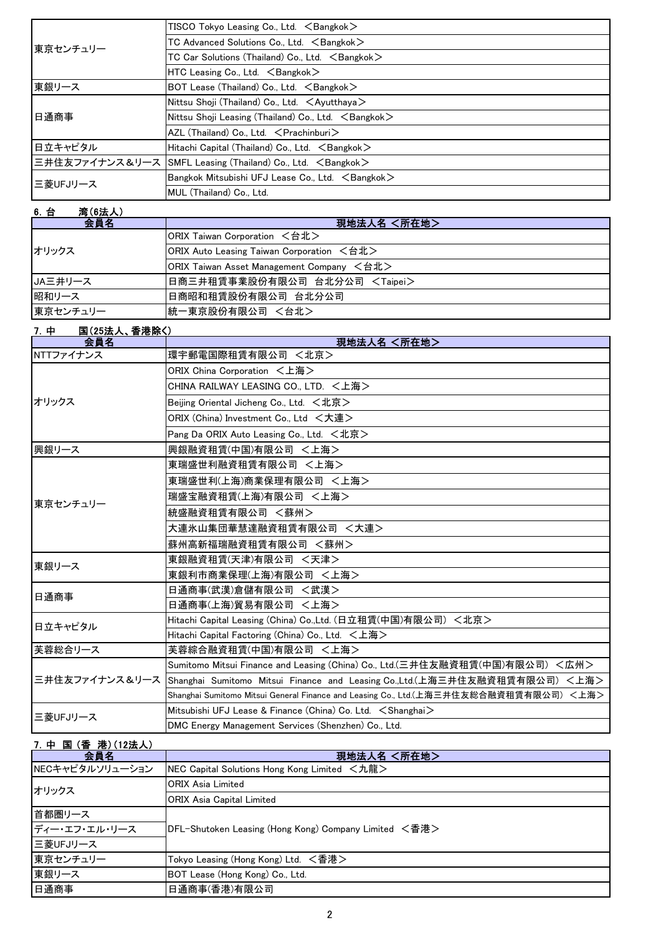| 東京センチュリー | $TISCO$ Tokyo Leasing Co., Ltd. $\leq$ Bangkok $>$                   |
|----------|----------------------------------------------------------------------|
|          | TC Advanced Solutions Co., Ltd. <bangkok></bangkok>                  |
|          | TC Car Solutions (Thailand) Co., Ltd. <bangkok></bangkok>            |
|          | $HTC$ Leasing Co., Ltd. $\leq$ Bangkok $>$                           |
| 東銀リース    | BOT Lease (Thailand) Co., Ltd. <bangkok></bangkok>                   |
| 日通商事     | Nittsu Shoji (Thailand) Co., Ltd. $\lt$ Ayutthaya $>$                |
|          | Nittsu Shoji Leasing (Thailand) Co., Ltd. $\leq$ Bangkok $>$         |
|          | $AZL$ (Thailand) Co., Ltd. $\leq$ Prachinburi $>$                    |
| 日立キャピタル  | Hitachi Capital (Thailand) Co., Ltd. <bangkok></bangkok>             |
|          | 三井住友ファイナンス&リース SMFL Leasing (Thailand) Co., Ltd. <bangkok></bangkok> |
| 三菱UFJリース | Bangkok Mitsubishi UFJ Lease Co., Ltd. <bangkok></bangkok>           |
|          | MUL (Thailand) Co., Ltd.                                             |

| 湾(6法人)<br>6. 台 |                                           |
|----------------|-------------------------------------------|
| 会員名            | 現地法人名 <所在地>                               |
| オリックス          | ORIX Taiwan Corporation <台北>              |
|                | ORIX Auto Leasing Taiwan Corporation <台北> |
|                | ORIX Taiwan Asset Management Company <台北> |
| JA三井リース        | 日商三井租賃事業股份有限公司 台北分公司 <taipei></taipei>    |
| 昭和リース          | 日商昭和租賃股份有限公司 台北分公司                        |
| 東京センチュリー       | 統一東京股份有限公司 <台北>                           |

| 7. 中<br>国(25法人、香港除く) |                                                                                           |
|----------------------|-------------------------------------------------------------------------------------------|
| 会員名                  | 現地法人名 <所在地>                                                                               |
| NTTファイナンス            | 環宇郵電国際租賃有限公司 <北京>                                                                         |
|                      | ORIX China Corporation <上海>                                                               |
|                      | CHINA RAILWAY LEASING CO., LTD. <上海>                                                      |
| オリックス                | Beijing Oriental Jicheng Co., Ltd. $\lt t$ 北京 $>$                                         |
|                      | ORIX (China) Investment Co., Ltd <大連>                                                     |
|                      | Pang Da ORIX Auto Leasing Co., Ltd. <北京>                                                  |
| 興銀リース                | 興銀融資租賃(中国)有限公司 <上海>                                                                       |
|                      | 東瑞盛世利融資租賃有限公司 <上海>                                                                        |
|                      | 東瑞盛世利(上海)商業保理有限公司 <上海>                                                                    |
| 東京センチュリー             | 瑞盛宝融資租賃(上海)有限公司 <上海>                                                                      |
|                      | 統盛融資租賃有限公司 <蘇州>                                                                           |
|                      | 大連氷山集団華慧達融資租賃有限公司 <大連>                                                                    |
|                      | 蘇州高新福瑞融資租賃有限公司 <蘇州>                                                                       |
| 東銀リース                | 東銀融資租賃(天津)有限公司 <天津>                                                                       |
|                      | 東銀利市商業保理(上海)有限公司 <上海>                                                                     |
| 日通商事                 | 日通商事(武漢)倉儲有限公司 <武漢>                                                                       |
|                      | 日通商事(上海)貿易有限公司 <上海>                                                                       |
| 日立キャピタル              | Hitachi Capital Leasing (China) Co.,Ltd. (日立租賃(中国)有限公司)<北京>                               |
|                      | Hitachi Capital Factoring (China) Co., Ltd. <上海>                                          |
| 芙蓉総合リース              | 芙蓉綜合融資租賃(中国)有限公司 <上海>                                                                     |
|                      | Sumitomo Mitsui Finance and Leasing (China) Co., Ltd.(三井住友融資租賃(中国)有限公司) <広州>              |
|                      | 三井住友ファイナンス&リース Shanghai Sumitomo Mitsui Finance and Leasing Co.,Ltd.(上海三井住友融資租賃有限公司) <上海> |
|                      | Shanghai Sumitomo Mitsui General Finance and Leasing Co., Ltd.(上海三井住友総合融資租賃有限公司) <上海>     |
| 三菱UFJリース             | Mitsubishi UFJ Lease & Finance (China) Co. Ltd. < Shanghai>                               |
|                      | DMC Energy Management Services (Shenzhen) Co., Ltd.                                       |

# 7.中 国 (香 港)(12法人)

| 会員名             | 現地法人名 <所在地>                                           |
|-----------------|-------------------------------------------------------|
| NECキャピタルソリューション | NEC Capital Solutions Hong Kong Limited <九龍>          |
| オリックス           | <b>ORIX Asia Limited</b>                              |
|                 | <b>ORIX Asia Capital Limited</b>                      |
| 首都圏リース          | DFL-Shutoken Leasing (Hong Kong) Company Limited <香港> |
| ディー・エフ・エル・リース   |                                                       |
| 三菱UFJリース        |                                                       |
| 東京センチュリー        | Tokyo Leasing (Hong Kong) Ltd. <香港>                   |
| 東銀リース           | BOT Lease (Hong Kong) Co., Ltd.                       |
| 日通商事            | 日通商事(香港)有限公司                                          |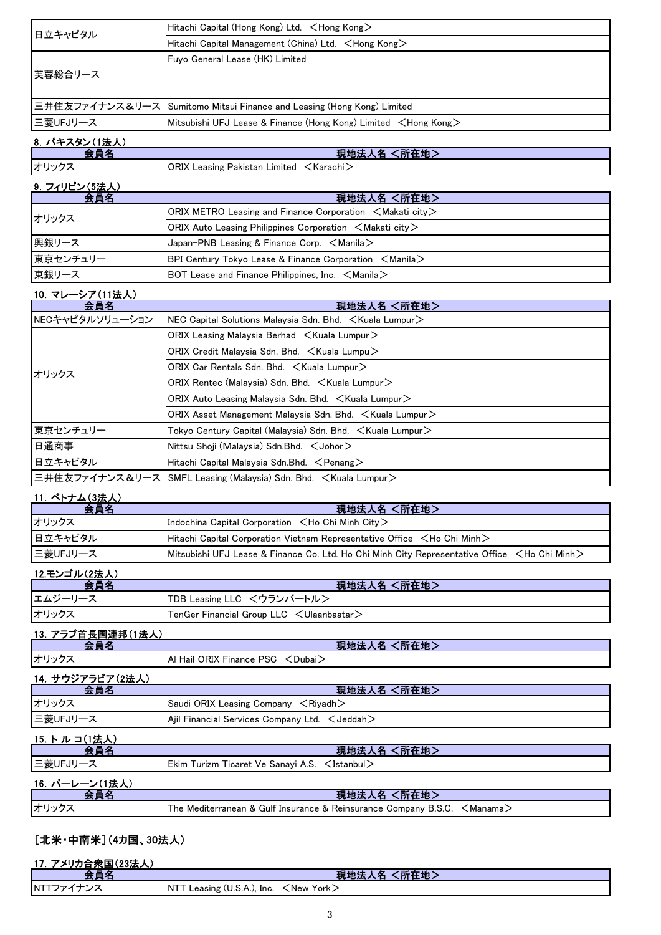| 日立キャピタル  | Hitachi Capital (Hong Kong) Ltd. $\leq$ Hong Kong $\geq$                 |
|----------|--------------------------------------------------------------------------|
|          | Hitachi Capital Management (China) Ltd. <hong kong=""></hong>            |
|          | Fuyo General Lease (HK) Limited                                          |
| 芙蓉総合リース  |                                                                          |
|          |                                                                          |
|          | 三井住友ファイナンス&リース  Sumitomo Mitsui Finance and Leasing (Hong Kong) Limited  |
| 三菱UFJリース | Mitsubishi UFJ Lease & Finance (Hong Kong) Limited <hong kong=""></hong> |

## 8. パキスタン(1法人)

| $\overline{\phantom{a}}$ | 現地法人名 <<br>く所在地>                                         |
|--------------------------|----------------------------------------------------------|
| オリックス                    | <b>ORIX Leasing Pakistan Limited <karachi></karachi></b> |

### 9. フィリピン(5法人)

| 会員名      | 現地法人名 <所在地>                                                                                       |
|----------|---------------------------------------------------------------------------------------------------|
| オリックス    | $ ORIX$ METRO Leasing and Finance Corporation $\leq$ Makati city $\geq$                           |
|          | $ ORIX$ Auto Leasing Philippines Corporation $\leq$ Makati city $\geq$                            |
| 興銀リース    | $\vert$ Japan-PNB Leasing & Finance Corp. $\leq$ Manila $\geq$                                    |
| 東京センチュリー | <b>BPI Century Tokyo Lease &amp; Finance Corporation <math>\leq</math>Manila<math>\geq</math></b> |
| 東銀リース    | BOT Lease and Finance Philippines, Inc. $\leq$ Manila $\geq$                                      |

#### 10. マレーシア(11法人)

| 会員名             | 現地法人名 <所在地>                                                                 |
|-----------------|-----------------------------------------------------------------------------|
| NECキャピタルソリューション | NEC Capital Solutions Malaysia Sdn. Bhd. $\lt$ Kuala Lumpur $\gt$           |
| オリックス           | ORIX Leasing Malaysia Berhad $\leq$ Kuala Lumpur $\geq$                     |
|                 | ORIX Credit Malaysia Sdn. Bhd. $\leq$ Kuala Lumpu $\geq$                    |
|                 | ORIX Car Rentals Sdn. Bhd. $\leq$ Kuala Lumpur $\geq$                       |
|                 | ORIX Rentec (Malaysia) Sdn. Bhd. $\leq$ Kuala Lumpur $\geq$                 |
|                 | ORIX Auto Leasing Malaysia Sdn. Bhd. $\leq$ Kuala Lumpur $\geq$             |
|                 | ORIX Asset Management Malaysia Sdn. Bhd. < Kuala Lumpur>                    |
| 東京センチュリー        | Tokyo Century Capital (Malaysia) Sdn. Bhd. $\,$ $<$ Kuala Lumpur $>$        |
| 日通商事            | Nittsu Shoji (Malaysia) Sdn.Bhd. $\lt$ Johor $\gt$                          |
| 日立キャピタル         | Hitachi Capital Malaysia Sdn.Bhd. <penang></penang>                         |
|                 | 三井住友ファイナンス&リース  SMFL Leasing (Malaysia) Sdn. Bhd. <kuala lumpur=""></kuala> |

## 11.ベトナム(3法人)

| 会員名      | 現地法人名 <所在地>                                                                                             |
|----------|---------------------------------------------------------------------------------------------------------|
| オリックス    | Indochina Capital Corporation $\lt$ Ho Chi Minh City $\gt$                                              |
| 日立キャピタル  | Hitachi Capital Corporation Vietnam Representative Office $\leq$ Ho Chi Minh $\geq$                     |
| 三菱UFJリース | Mitsubishi UFJ Lease & Finance Co. Ltd. Ho Chi Minh City Representative Office <ho chi="" minh=""></ho> |

### 12.モンゴル(2法人)

| ▲ 昌 夕   | 現地法人名 <所在地>                                          |
|---------|------------------------------------------------------|
| エムジーリース | TDB Leasing LLC <ウランバートル>                            |
| オリックス   | $ TenGer$ Financial Group LLC $\leq$ Ulaanbaatar $>$ |

## 13.アラブ首長国連邦(1法人)

| ᄾᆯᄼ              | 現地法人名 <所在地>                               |
|------------------|-------------------------------------------|
| オリックス            | IAI Hail ORIX Finance PSC <dubai></dubai> |
| 14. サウジアラビア(2法人) |                                           |
| $\sim$ $\sim$    | マロ いしゃようし フォート・ファイル いしゃく                  |

| 会員名             | 現地法人名 <所在地>                                             |
|-----------------|---------------------------------------------------------|
| オリックス           | Saudi ORIX Leasing Company $\leq$ Riyadh $>$            |
| ■三菱UFJリース       | Ajil Financial Services Company Ltd. $\lt$ Jeddah $\gt$ |
| - 15 トル. コ/1注ま) |                                                         |

| 13. F ル コ、l   広人ノ |                                                                                   |
|-------------------|-----------------------------------------------------------------------------------|
|                   | ■現地法人名 <所在地>                                                                      |
| 三菱UFJリース          | Ekim Turizm Ticaret Ve Sanayi A.S. $\leq$ Istanbul $\geq$                         |
| 16. バーレーン(1法人)    |                                                                                   |
|                   | 現地法人名 <所在地>                                                                       |
| オリックス             | The Mediterranean & Gulf Insurance & Reinsurance Company B.S.C. $\leq$ Manama $>$ |

## [北米・中南米](4カ国、30法人)

#### 17.アメリカ合衆国(23法人)

| <b>AND THE REAL</b><br>今日ネ | 現地法人名 <所在地>                                                                |
|----------------------------|----------------------------------------------------------------------------|
| NTTファイ                     | <b>INT<sup>7</sup></b><br>Leasing $(U.S.A.)$ , Inc.<br><new york=""></new> |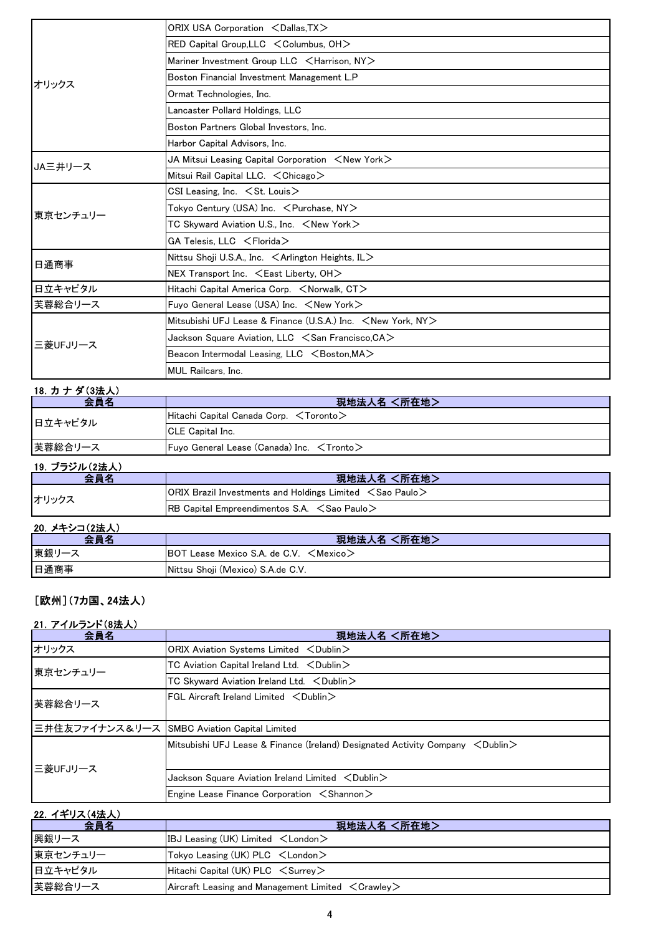|          | ORIX USA Corporation <dallas.tx></dallas.tx>                            |
|----------|-------------------------------------------------------------------------|
|          | RED Capital Group, LLC $\leq$ Columbus, OH $>$                          |
|          | Mariner Investment Group LLC <harrison, ny=""></harrison,>              |
|          | Boston Financial Investment Management L.P                              |
| オリックス    | Ormat Technologies, Inc.                                                |
|          | Lancaster Pollard Holdings, LLC                                         |
|          | Boston Partners Global Investors, Inc.                                  |
|          | Harbor Capital Advisors, Inc.                                           |
| JA三井リース  | JA Mitsui Leasing Capital Corporation $\,$ $<$ New York $>$             |
|          | Mitsui Rail Capital LLC. < Chicago>                                     |
|          | CSI Leasing, Inc. $\leq$ St. Louis $>$                                  |
| 東京センチュリー | Tokyo Century (USA) Inc. < Purchase, NY>                                |
|          | TC Skyward Aviation U.S., Inc. <new york=""></new>                      |
|          | GA Telesis, LLC <florida></florida>                                     |
|          | Nittsu Shoji U.S.A., Inc. $\leq$ Arlington Heights, IL $>$              |
| 日通商事     | NEX Transport Inc. $\leq$ East Liberty, OH $>$                          |
| 日立キャピタル  | Hitachi Capital America Corp. <norwalk, ct=""></norwalk,>               |
| 芙蓉総合リース  | Fuvo General Lease (USA) Inc. <new york=""></new>                       |
| 三菱UFJリース | Mitsubishi UFJ Lease & Finance (U.S.A.) Inc. <new ny="" york,=""></new> |
|          | Jackson Square Aviation, LLC < San Francisco, CA>                       |
|          | Beacon Intermodal Leasing, LLC $\leq$ Boston, MA $>$                    |
|          | <b>MUL Railcars, Inc.</b>                                               |

## 18. カナダ(3法人)

| 会員名            | 現地法人名 <所在地>                                            |
|----------------|--------------------------------------------------------|
| 日立キャピタル        | $ $ Hitachi Capital Canada Corp. $\leq$ Toronto $\geq$ |
|                | <b>ICLE Capital Inc.</b>                               |
| 芙蓉総合リース        | Fuyo General Lease (Canada) Inc. $\leq$ Tronto $\geq$  |
| ユヘーゴニンショ ムンナリン |                                                        |

| 19. フラジル(2法人) |                                                                                                   |
|---------------|---------------------------------------------------------------------------------------------------|
| 会員名           | 現地法人名 <所在地>                                                                                       |
| オリックス         | <b>ORIX Brazil Investments and Holdings Limited <math>\leq</math> Sao Paulo <math>\geq</math></b> |
|               | $ {\sf RB}$ Capital Empreendimentos S.A. $\leq$ Sao Paulo $\geq$                                  |

### 20.メキシコ(2法人) 会員名 現地法人名 <所在地> 東銀リース BOT Lease Mexico S.A. de C.V. <Mexico> 日通商事 Nittsu Shoji (Mexico) S.A.de C.V.

## [欧州](7カ国、24法人)

#### 21.アイルランド(8法人)

| 会員名      | 現地法人名 <所在地>                                                                            |
|----------|----------------------------------------------------------------------------------------|
| オリックス    | ORIX Aviation Systems Limited <dublin></dublin>                                        |
| 東京センチュリー | TC Aviation Capital Ireland Ltd. < Dublin>                                             |
|          | TC Skyward Aviation Ireland Ltd. < Dublin>                                             |
| 芙蓉総合リース  | $\sf IFGL$ Aircraft Ireland Limited $\sf <$ Dublin $\sf >$                             |
|          | 三井住友ファイナンス&リース SMBC Aviation Capital Limited                                           |
| E菱UFJリース | Mitsubishi UFJ Lease & Finance (Ireland) Designated Activity Company $\,$ < Dublin $>$ |
|          | Jackson Square Aviation Ireland Limited <dublin></dublin>                              |
|          | Engine Lease Finance Corporation $\leq$ Shannon $\geq$                                 |

#### 22.イギリス(4法人)

| 会員名      | 現地法人名 <所在地>                                                         |
|----------|---------------------------------------------------------------------|
| 興銀リース    | IBJ Leasing (UK) Limited $\lt$ London $\gt$                         |
| 東京センチュリー | Tokyo Leasing (UK) $PLC \leq$ London $>$                            |
| 日立キャピタル  | Hitachi Capital (UK) $PLC \leq$ Surrey                              |
| 芙蓉総合リース  | Aircraft Leasing and Management Limited $\langle$ Crawley $\rangle$ |